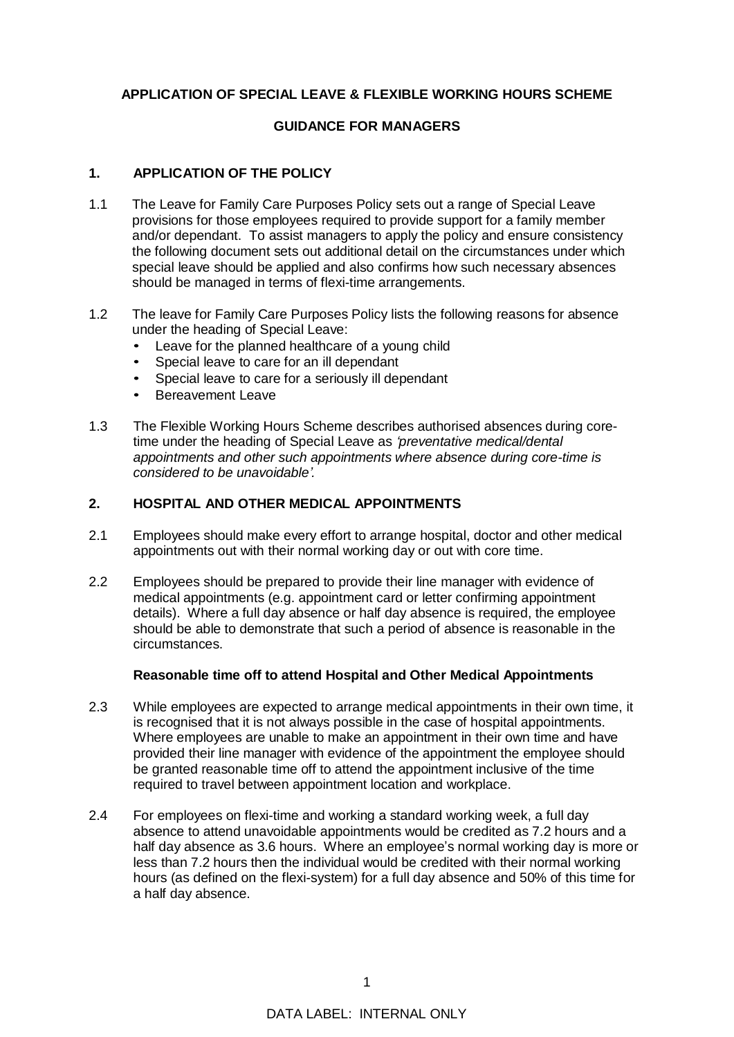# **APPLICATION OF SPECIAL LEAVE & FLEXIBLE WORKING HOURS SCHEME**

# **GUIDANCE FOR MANAGERS**

#### **1. APPLICATION OF THE POLICY**

- 1.1 The Leave for Family Care Purposes Policy sets out a range of Special Leave provisions for those employees required to provide support for a family member and/or dependant. To assist managers to apply the policy and ensure consistency the following document sets out additional detail on the circumstances under which special leave should be applied and also confirms how such necessary absences should be managed in terms of flexi-time arrangements.
- 1.2 The leave for Family Care Purposes Policy lists the following reasons for absence under the heading of Special Leave:
	- Leave for the planned healthcare of a young child
	- Special leave to care for an ill dependant
	- Special leave to care for a seriously ill dependant
	- Bereavement Leave
- 1.3 The Flexible Working Hours Scheme describes authorised absences during coretime under the heading of Special Leave as *'preventative medical/dental appointments and other such appointments where absence during core-time is considered to be unavoidable'.*

# **2. HOSPITAL AND OTHER MEDICAL APPOINTMENTS**

- 2.1 Employees should make every effort to arrange hospital, doctor and other medical appointments out with their normal working day or out with core time.
- 2.2 Employees should be prepared to provide their line manager with evidence of medical appointments (e.g. appointment card or letter confirming appointment details). Where a full day absence or half day absence is required, the employee should be able to demonstrate that such a period of absence is reasonable in the circumstances.

#### **Reasonable time off to attend Hospital and Other Medical Appointments**

- 2.3 While employees are expected to arrange medical appointments in their own time, it is recognised that it is not always possible in the case of hospital appointments. Where employees are unable to make an appointment in their own time and have provided their line manager with evidence of the appointment the employee should be granted reasonable time off to attend the appointment inclusive of the time required to travel between appointment location and workplace.
- 2.4 For employees on flexi-time and working a standard working week, a full day absence to attend unavoidable appointments would be credited as 7.2 hours and a half day absence as 3.6 hours. Where an employee's normal working day is more or less than 7.2 hours then the individual would be credited with their normal working hours (as defined on the flexi-system) for a full day absence and 50% of this time for a half day absence.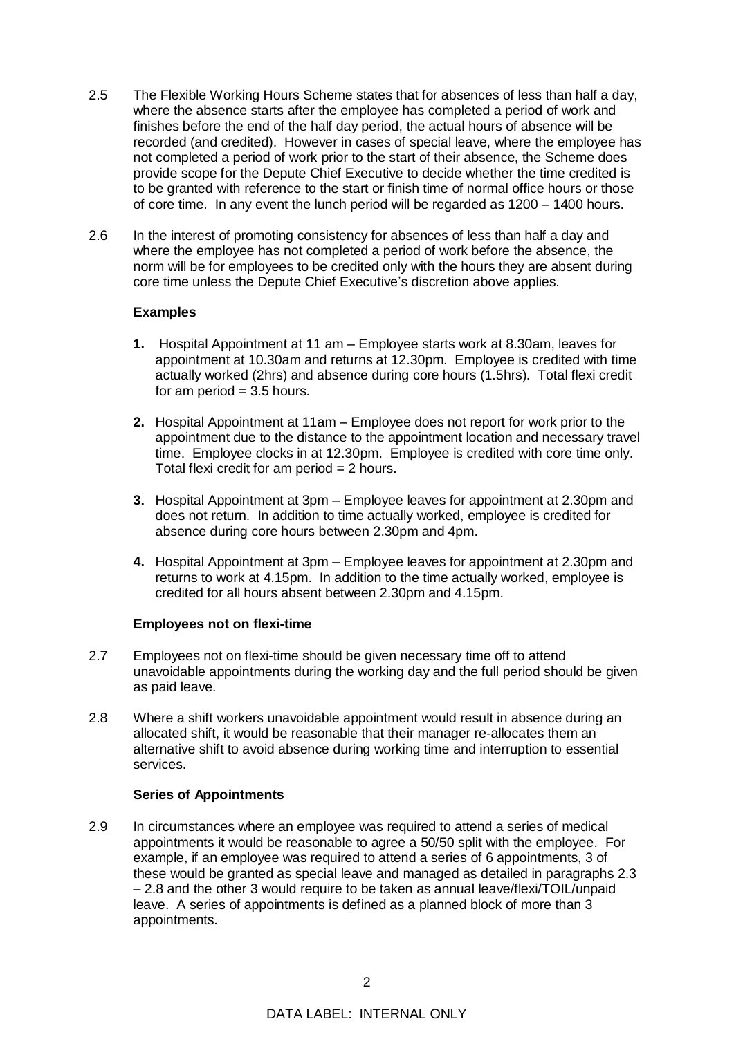- 2.5 The Flexible Working Hours Scheme states that for absences of less than half a day, where the absence starts after the employee has completed a period of work and finishes before the end of the half day period, the actual hours of absence will be recorded (and credited). However in cases of special leave, where the employee has not completed a period of work prior to the start of their absence, the Scheme does provide scope for the Depute Chief Executive to decide whether the time credited is to be granted with reference to the start or finish time of normal office hours or those of core time. In any event the lunch period will be regarded as 1200 – 1400 hours.
- 2.6 In the interest of promoting consistency for absences of less than half a day and where the employee has not completed a period of work before the absence, the norm will be for employees to be credited only with the hours they are absent during core time unless the Depute Chief Executive's discretion above applies.

### **Examples**

- **1.** Hospital Appointment at 11 am Employee starts work at 8.30am, leaves for appointment at 10.30am and returns at 12.30pm. Employee is credited with time actually worked (2hrs) and absence during core hours (1.5hrs). Total flexi credit for am period  $= 3.5$  hours.
- **2.** Hospital Appointment at 11am Employee does not report for work prior to the appointment due to the distance to the appointment location and necessary travel time. Employee clocks in at 12.30pm. Employee is credited with core time only. Total flexi credit for am period = 2 hours.
- **3.** Hospital Appointment at 3pm Employee leaves for appointment at 2.30pm and does not return. In addition to time actually worked, employee is credited for absence during core hours between 2.30pm and 4pm.
- **4.** Hospital Appointment at 3pm Employee leaves for appointment at 2.30pm and returns to work at 4.15pm. In addition to the time actually worked, employee is credited for all hours absent between 2.30pm and 4.15pm.

# **Employees not on flexi-time**

- 2.7 Employees not on flexi-time should be given necessary time off to attend unavoidable appointments during the working day and the full period should be given as paid leave.
- 2.8 Where a shift workers unavoidable appointment would result in absence during an allocated shift, it would be reasonable that their manager re-allocates them an alternative shift to avoid absence during working time and interruption to essential services.

# **Series of Appointments**

2.9 In circumstances where an employee was required to attend a series of medical appointments it would be reasonable to agree a 50/50 split with the employee. For example, if an employee was required to attend a series of 6 appointments, 3 of these would be granted as special leave and managed as detailed in paragraphs 2.3 – 2.8 and the other 3 would require to be taken as annual leave/flexi/TOIL/unpaid leave. A series of appointments is defined as a planned block of more than 3 appointments.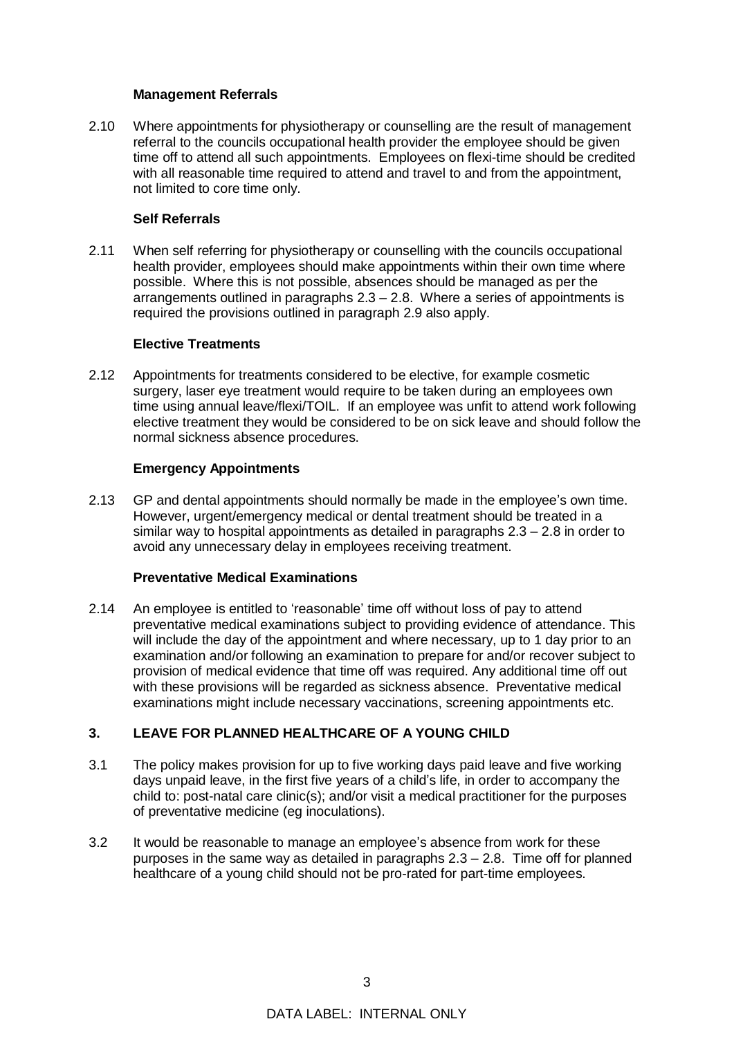#### **Management Referrals**

2.10 Where appointments for physiotherapy or counselling are the result of management referral to the councils occupational health provider the employee should be given time off to attend all such appointments. Employees on flexi-time should be credited with all reasonable time required to attend and travel to and from the appointment, not limited to core time only.

## **Self Referrals**

2.11 When self referring for physiotherapy or counselling with the councils occupational health provider, employees should make appointments within their own time where possible. Where this is not possible, absences should be managed as per the arrangements outlined in paragraphs 2.3 – 2.8. Where a series of appointments is required the provisions outlined in paragraph 2.9 also apply.

### **Elective Treatments**

2.12 Appointments for treatments considered to be elective, for example cosmetic surgery, laser eye treatment would require to be taken during an employees own time using annual leave/flexi/TOIL. If an employee was unfit to attend work following elective treatment they would be considered to be on sick leave and should follow the normal sickness absence procedures.

### **Emergency Appointments**

2.13 GP and dental appointments should normally be made in the employee's own time. However, urgent/emergency medical or dental treatment should be treated in a similar way to hospital appointments as detailed in paragraphs 2.3 – 2.8 in order to avoid any unnecessary delay in employees receiving treatment.

# **Preventative Medical Examinations**

2.14 An employee is entitled to 'reasonable' time off without loss of pay to attend preventative medical examinations subject to providing evidence of attendance. This will include the day of the appointment and where necessary, up to 1 day prior to an examination and/or following an examination to prepare for and/or recover subject to provision of medical evidence that time off was required. Any additional time off out with these provisions will be regarded as sickness absence. Preventative medical examinations might include necessary vaccinations, screening appointments etc.

# **3. LEAVE FOR PLANNED HEALTHCARE OF A YOUNG CHILD**

- 3.1 The policy makes provision for up to five working days paid leave and five working days unpaid leave, in the first five years of a child's life, in order to accompany the child to: post-natal care clinic(s); and/or visit a medical practitioner for the purposes of preventative medicine (eg inoculations).
- 3.2 It would be reasonable to manage an employee's absence from work for these purposes in the same way as detailed in paragraphs  $2.3 - 2.8$ . Time off for planned healthcare of a young child should not be pro-rated for part-time employees.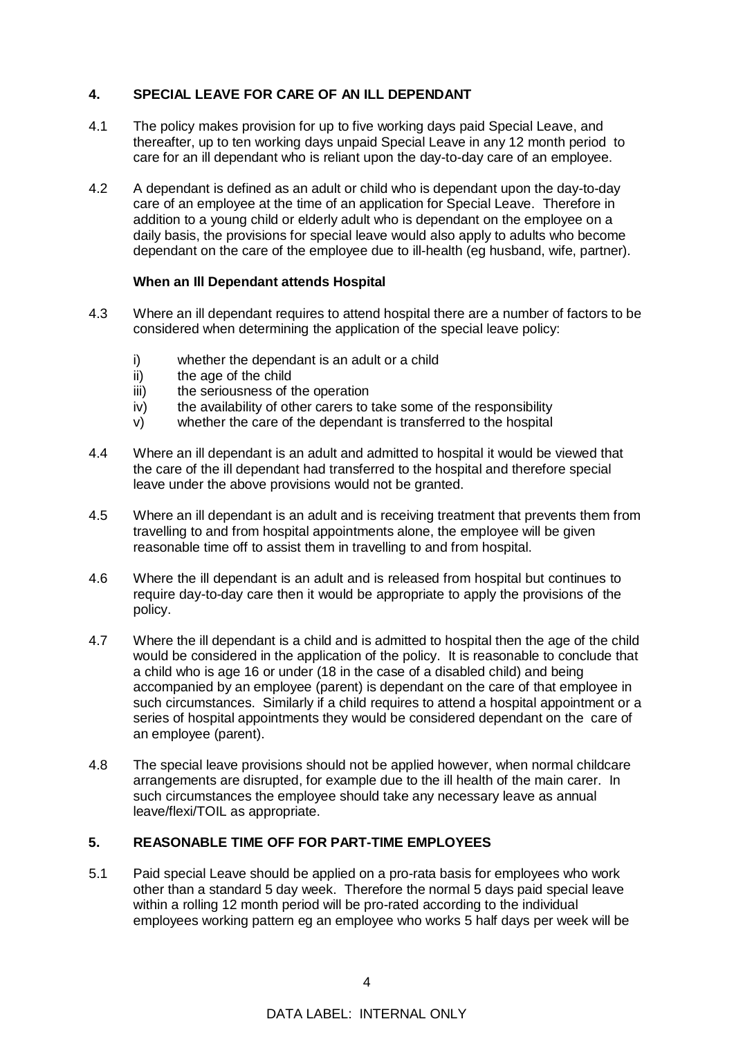# **4. SPECIAL LEAVE FOR CARE OF AN ILL DEPENDANT**

- 4.1 The policy makes provision for up to five working days paid Special Leave, and thereafter, up to ten working days unpaid Special Leave in any 12 month period to care for an ill dependant who is reliant upon the day-to-day care of an employee.
- 4.2 A dependant is defined as an adult or child who is dependant upon the day-to-day care of an employee at the time of an application for Special Leave. Therefore in addition to a young child or elderly adult who is dependant on the employee on a daily basis, the provisions for special leave would also apply to adults who become dependant on the care of the employee due to ill-health (eg husband, wife, partner).

# **When an Ill Dependant attends Hospital**

- 4.3 Where an ill dependant requires to attend hospital there are a number of factors to be considered when determining the application of the special leave policy:
	- i) whether the dependant is an adult or a child
	- ii) the age of the child
	- iii) the seriousness of the operation
	- iv) the availability of other carers to take some of the responsibility
	- v) whether the care of the dependant is transferred to the hospital
- 4.4 Where an ill dependant is an adult and admitted to hospital it would be viewed that the care of the ill dependant had transferred to the hospital and therefore special leave under the above provisions would not be granted.
- 4.5 Where an ill dependant is an adult and is receiving treatment that prevents them from travelling to and from hospital appointments alone, the employee will be given reasonable time off to assist them in travelling to and from hospital.
- 4.6 Where the ill dependant is an adult and is released from hospital but continues to require day-to-day care then it would be appropriate to apply the provisions of the policy.
- 4.7 Where the ill dependant is a child and is admitted to hospital then the age of the child would be considered in the application of the policy. It is reasonable to conclude that a child who is age 16 or under (18 in the case of a disabled child) and being accompanied by an employee (parent) is dependant on the care of that employee in such circumstances. Similarly if a child requires to attend a hospital appointment or a series of hospital appointments they would be considered dependant on the care of an employee (parent).
- 4.8 The special leave provisions should not be applied however, when normal childcare arrangements are disrupted, for example due to the ill health of the main carer. In such circumstances the employee should take any necessary leave as annual leave/flexi/TOIL as appropriate.

# **5. REASONABLE TIME OFF FOR PART-TIME EMPLOYEES**

5.1 Paid special Leave should be applied on a pro-rata basis for employees who work other than a standard 5 day week. Therefore the normal 5 days paid special leave within a rolling 12 month period will be pro-rated according to the individual employees working pattern eg an employee who works 5 half days per week will be